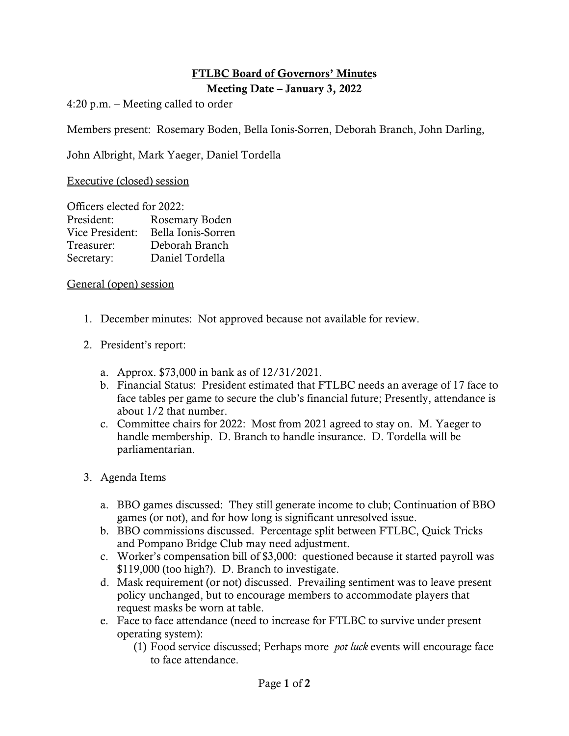## **FTLBC Board of Governors' Minutes**

**Meeting Date – January 3, 2022**

4:20 p.m. – Meeting called to order

Members present: Rosemary Boden, Bella Ionis-Sorren, Deborah Branch, John Darling,

John Albright, Mark Yaeger, Daniel Tordella

Executive (closed) session

| Officers elected for 2022: |                    |
|----------------------------|--------------------|
| President:                 | Rosemary Boden     |
| Vice President:            | Bella Ionis-Sorren |
| Treasurer:                 | Deborah Branch     |
| Secretary:                 | Daniel Tordella    |

## General (open) session

- 1. December minutes: Not approved because not available for review.
- 2. President's report:
	- a. Approx. \$73,000 in bank as of 12/31/2021.
	- b. Financial Status: President estimated that FTLBC needs an average of 17 face to face tables per game to secure the club's financial future; Presently, attendance is about 1/2 that number.
	- c. Committee chairs for 2022: Most from 2021 agreed to stay on. M. Yaeger to handle membership. D. Branch to handle insurance. D. Tordella will be parliamentarian.
- 3. Agenda Items
	- a. BBO games discussed: They still generate income to club; Continuation of BBO games (or not), and for how long is significant unresolved issue.
	- b. BBO commissions discussed. Percentage split between FTLBC, Quick Tricks and Pompano Bridge Club may need adjustment.
	- c. Worker's compensation bill of \$3,000: questioned because it started payroll was \$119,000 (too high?). D. Branch to investigate.
	- d. Mask requirement (or not) discussed. Prevailing sentiment was to leave present policy unchanged, but to encourage members to accommodate players that request masks be worn at table.
	- e. Face to face attendance (need to increase for FTLBC to survive under present operating system):
		- (1) Food service discussed; Perhaps more *pot luck* events will encourage face to face attendance.